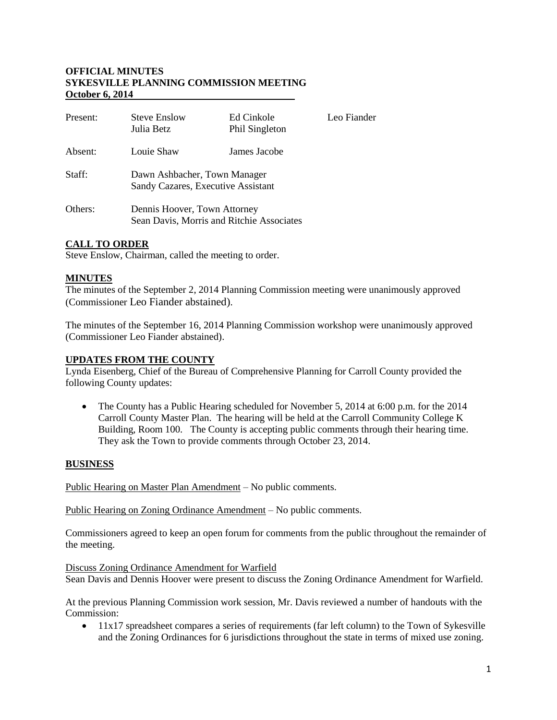## **OFFICIAL MINUTES SYKESVILLE PLANNING COMMISSION MEETING October 6, 2014**

| Present: | <b>Steve Enslow</b><br>Julia Betz                                         | Ed Cinkole<br>Phil Singleton | Leo Fiander |
|----------|---------------------------------------------------------------------------|------------------------------|-------------|
| Absent:  | Louie Shaw                                                                | James Jacobe                 |             |
| Staff:   | Dawn Ashbacher, Town Manager<br>Sandy Cazares, Executive Assistant        |                              |             |
| Others:  | Dennis Hoover, Town Attorney<br>Sean Davis, Morris and Ritchie Associates |                              |             |

# **CALL TO ORDER**

Steve Enslow, Chairman, called the meeting to order.

### **MINUTES**

The minutes of the September 2, 2014 Planning Commission meeting were unanimously approved (Commissioner Leo Fiander abstained).

The minutes of the September 16, 2014 Planning Commission workshop were unanimously approved (Commissioner Leo Fiander abstained).

#### **UPDATES FROM THE COUNTY**

Lynda Eisenberg, Chief of the Bureau of Comprehensive Planning for Carroll County provided the following County updates:

• The County has a Public Hearing scheduled for November 5, 2014 at 6:00 p.m. for the 2014 Carroll County Master Plan. The hearing will be held at the Carroll Community College K Building, Room 100. The County is accepting public comments through their hearing time. They ask the Town to provide comments through October 23, 2014.

### **BUSINESS**

Public Hearing on Master Plan Amendment – No public comments.

Public Hearing on Zoning Ordinance Amendment – No public comments.

Commissioners agreed to keep an open forum for comments from the public throughout the remainder of the meeting.

Discuss Zoning Ordinance Amendment for Warfield Sean Davis and Dennis Hoover were present to discuss the Zoning Ordinance Amendment for Warfield.

At the previous Planning Commission work session, Mr. Davis reviewed a number of handouts with the Commission:

• 11x17 spreadsheet compares a series of requirements (far left column) to the Town of Sykesville and the Zoning Ordinances for 6 jurisdictions throughout the state in terms of mixed use zoning.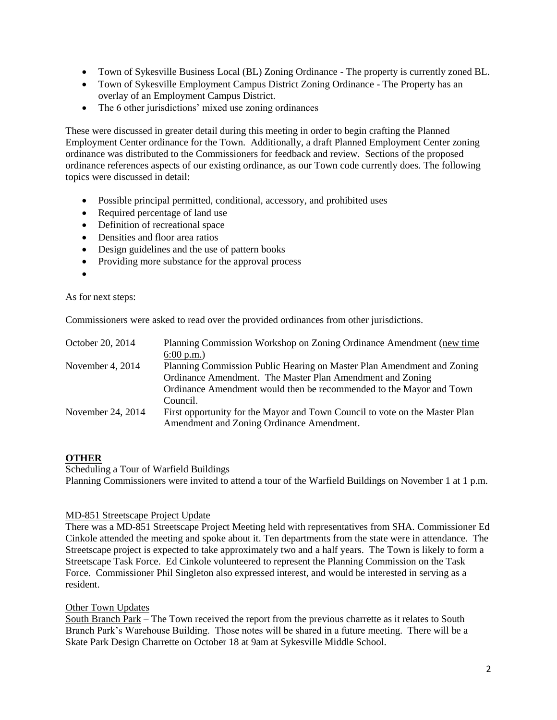- Town of Sykesville Business Local (BL) Zoning Ordinance The property is currently zoned BL.
- Town of Sykesville Employment Campus District Zoning Ordinance The Property has an overlay of an Employment Campus District.
- The 6 other jurisdictions' mixed use zoning ordinances

These were discussed in greater detail during this meeting in order to begin crafting the Planned Employment Center ordinance for the Town. Additionally, a draft Planned Employment Center zoning ordinance was distributed to the Commissioners for feedback and review. Sections of the proposed ordinance references aspects of our existing ordinance, as our Town code currently does. The following topics were discussed in detail:

- Possible principal permitted, conditional, accessory, and prohibited uses
- Required percentage of land use
- Definition of recreational space
- Densities and floor area ratios
- Design guidelines and the use of pattern books
- Providing more substance for the approval process
- $\bullet$

#### As for next steps:

Commissioners were asked to read over the provided ordinances from other jurisdictions.

| October 20, 2014  | Planning Commission Workshop on Zoning Ordinance Amendment (new time                                                     |  |
|-------------------|--------------------------------------------------------------------------------------------------------------------------|--|
|                   | $6:00 \text{ p.m.}$                                                                                                      |  |
| November 4, 2014  | Planning Commission Public Hearing on Master Plan Amendment and Zoning                                                   |  |
|                   | Ordinance Amendment. The Master Plan Amendment and Zoning                                                                |  |
|                   | Ordinance Amendment would then be recommended to the Mayor and Town                                                      |  |
|                   | Council.                                                                                                                 |  |
| November 24, 2014 | First opportunity for the Mayor and Town Council to vote on the Master Plan<br>Amendment and Zoning Ordinance Amendment. |  |

### **OTHER**

#### Scheduling a Tour of Warfield Buildings

Planning Commissioners were invited to attend a tour of the Warfield Buildings on November 1 at 1 p.m.

### MD-851 Streetscape Project Update

There was a MD-851 Streetscape Project Meeting held with representatives from SHA. Commissioner Ed Cinkole attended the meeting and spoke about it. Ten departments from the state were in attendance. The Streetscape project is expected to take approximately two and a half years. The Town is likely to form a Streetscape Task Force. Ed Cinkole volunteered to represent the Planning Commission on the Task Force. Commissioner Phil Singleton also expressed interest, and would be interested in serving as a resident.

### Other Town Updates

South Branch Park – The Town received the report from the previous charrette as it relates to South Branch Park's Warehouse Building. Those notes will be shared in a future meeting. There will be a Skate Park Design Charrette on October 18 at 9am at Sykesville Middle School.